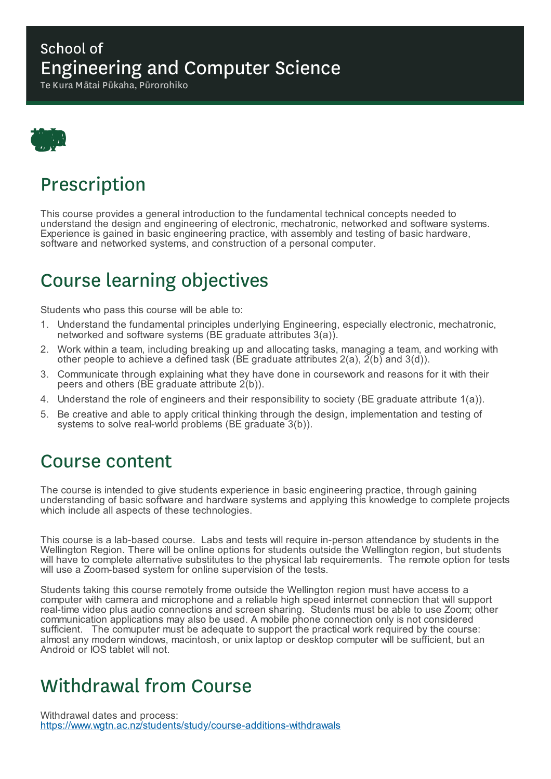#### School of Engineering and Computer Science

Te Kura Mātai Pūkaha, Pūrorohiko



# Prescription

This course provides a general introduction to the fundamental technical concepts needed to understand the design and engineering of electronic, mechatronic, networked and software systems. Experience is gained in basic engineering practice, with assembly and testing of basic hardware, software and networked systems, and construction of a personal computer.

# Course learning objectives

Students who pass this course will be able to:

- 1. Understand the fundamental principles underlying Engineering, especially electronic, mechatronic, networked and software systems (BE graduate attributes 3(a)).
- 2. Work within a team, including breaking up and allocating tasks, managing a team, and working with other people to achieve a defined task (BE graduate attributes  $2(a)$ ,  $2(b)$  and  $3(d)$ ).
- 3. Communicate through explaining what they have done in coursework and reasons for it with their peers and others (BE graduate attribute 2(b)).
- 4. Understand the role of engineers and their responsibility to society (BE graduate attribute 1(a)).
- 5. Be creative and able to apply critical thinking through the design, implementation and testing of systems to solve real-world problems (BE graduate 3(b)).

#### Course content

The course is intended to give students experience in basic engineering practice, through gaining understanding of basic software and hardware systems and applying this knowledge to complete projects which include all aspects of these technologies.

This course is a lab-based course. Labs and tests will require in-person attendance by students in the Wellington Region. There will be online options for students outside the Wellington region, but students will have to complete alternative substitutes to the physical lab requirements. The remote option for tests will use a Zoom-based system for online supervision of the tests.

Students taking this course remotely frome outside the Wellington region must have access to a computer with camera and microphone and a reliable high speed internet connection that will support real-time video plus audio connections and screen sharing. Students must be able to use Zoom; other communication applications may also be used. A mobile phone connection only is not considered sufficient. The comuputer must be adequate to support the practical work required by the course: almost any modern windows, macintosh, or unix laptop or desktop computer will be sufficient, but an Android or IOS tablet will not.

### Withdrawal from Course

Withdrawal dates and process: https://www.wgtn.ac.nz/students/study/course-additions-withdrawals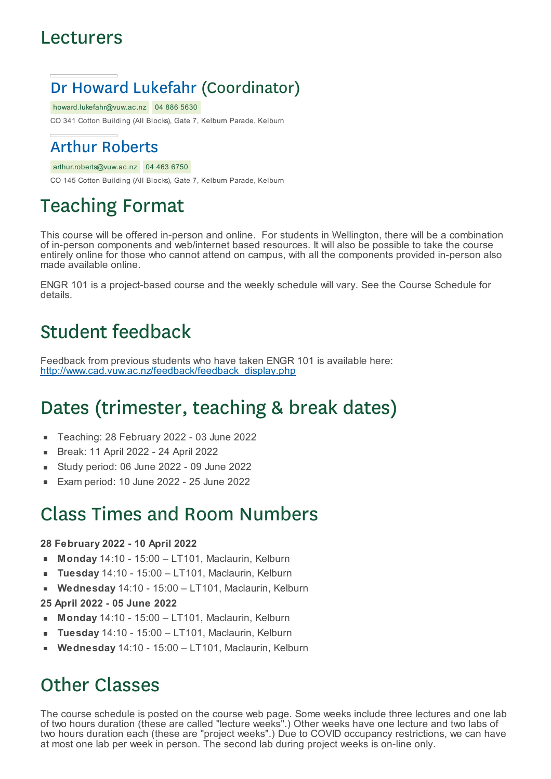#### Lecturers

### Dr Howard Lukefahr (Coordinator)

howard.lukefahr@vuw.ac.nz 04 886 5630

CO 341 Cotton Building (All Blocks), Gate 7, Kelburn Parade, Kelburn

#### Arthur Roberts

arthur.roberts@vuw.ac.nz 04 463 6750

CO 145 Cotton Building (All Blocks), Gate 7, Kelburn Parade, Kelburn

# Teaching Format

This course will be offered in-person and online. For students in Wellington, there will be a combination of in-person components and web/internet based resources. It will also be possible to take the course entirely online for those who cannot attend on campus, with all the components provided in-person also made available online.

ENGR 101 is a project-based course and the weekly schedule will vary. See the Course Schedule for details.

### Student feedback

Feedback from previous students who have taken ENGR 101 is available here: http://www.cad.vuw.ac.nz/feedback/feedback\_display.php

# Dates (trimester, teaching & break dates)

- Teaching: 28 February 2022 03 June 2022  $\blacksquare$
- Break: 11 April 2022 24 April 2022
- Study period: 06 June 2022 09 June 2022
- Exam period: 10 June 2022 25 June 2022

### Class Times and Room Numbers

#### **28 February 2022 - 10 April 2022**

- **Monday** 14:10 15:00 LT101, Maclaurin, Kelburn
- **Tuesday** 14:10 15:00 LT101, Maclaurin, Kelburn
- **Wednesday** 14:10 15:00 LT101, Maclaurin, Kelburn  $\blacksquare$
- **25 April 2022 - 05 June 2022**
- **Monday** 14:10 15:00 LT101, Maclaurin, Kelburn
- **Tuesday** 14:10 15:00 LT101, Maclaurin, Kelburn
- **Wednesday** 14:10 15:00 LT101, Maclaurin, Kelburn

### Other Classes

The course schedule is posted on the course web page. Some weeks include three lectures and one lab of two hours duration (these are called "lecture weeks".) Other weeks have one lecture and two labs of two hours duration each (these are "project weeks".) Due to COVID occupancy restrictions, we can have at most one lab per week in person. The second lab during project weeks is on-line only.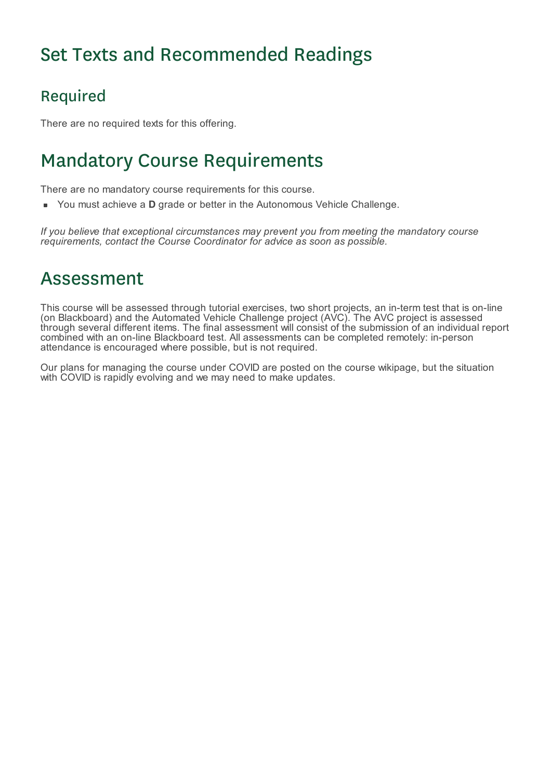# Set Texts and Recommended Readings

### Required

There are no required texts for this offering.

# Mandatory Course Requirements

There are no mandatory course requirements for this course.

You must achieve a **D** grade or better in the Autonomous Vehicle Challenge.

*If you believe that exceptional circumstances may prevent you from meeting the mandatory course requirements, contact the Course Coordinator for advice as soon as possible.*

### Assessment

This course will be assessed through tutorial exercises, two short projects, an in-term test that is on-line (on Blackboard) and the Automated Vehicle Challenge project (AVC). The AVC project is assessed through several different items. The final assessment will consist of the submission of an individual report combined with an on-line Blackboard test. All assessments can be completed remotely: in-person attendance is encouraged where possible, but is not required.

Our plans for managing the course under COVID are posted on the course wikipage, but the situation with COVID is rapidly evolving and we may need to make updates.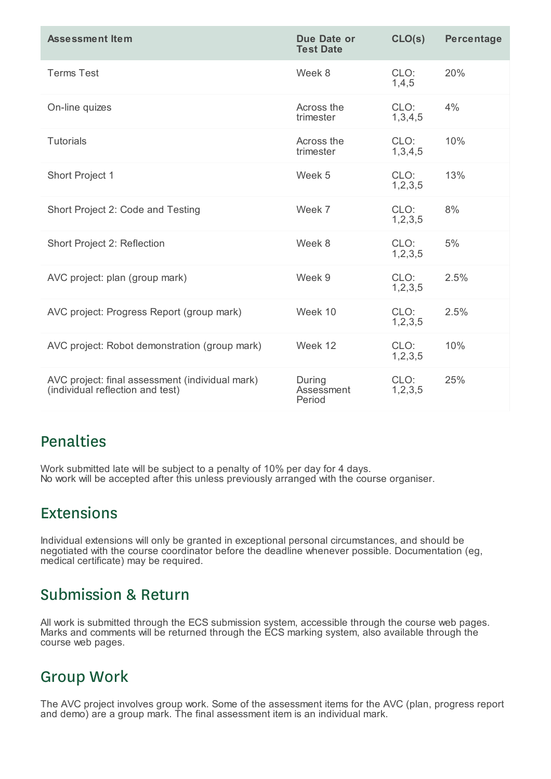| <b>Assessment Item</b>                                                              | Due Date or<br><b>Test Date</b> | CLO(s)             | <b>Percentage</b> |
|-------------------------------------------------------------------------------------|---------------------------------|--------------------|-------------------|
| <b>Terms Test</b>                                                                   | Week 8                          | CLO:<br>1,4,5      | 20%               |
| On-line quizes                                                                      | Across the<br>trimester         | CLO:<br>1,3,4,5    | 4%                |
| <b>Tutorials</b>                                                                    | Across the<br>trimester         | CLO:<br>1,3,4,5    | 10%               |
| Short Project 1                                                                     | Week 5                          | CLO:<br>1, 2, 3, 5 | 13%               |
| Short Project 2: Code and Testing                                                   | Week 7                          | CLO:<br>1, 2, 3, 5 | 8%                |
| Short Project 2: Reflection                                                         | Week 8                          | CLO:<br>1, 2, 3, 5 | 5%                |
| AVC project: plan (group mark)                                                      | Week 9                          | CLO:<br>1, 2, 3, 5 | 2.5%              |
| AVC project: Progress Report (group mark)                                           | Week 10                         | CLO:<br>1, 2, 3, 5 | 2.5%              |
| AVC project: Robot demonstration (group mark)                                       | Week 12                         | CLO:<br>1, 2, 3, 5 | 10%               |
| AVC project: final assessment (individual mark)<br>(individual reflection and test) | During<br>Assessment<br>Period  | CLO:<br>1, 2, 3, 5 | 25%               |

#### Penalties

Work submitted late will be subject to a penalty of 10% per day for 4 days. No work will be accepted after this unless previously arranged with the course organiser.

#### Extensions

Individual extensions will only be granted in exceptional personal circumstances, and should be negotiated with the course coordinator before the deadline whenever possible. Documentation (eg, medical certificate) may be required.

#### Submission & Return

All work is submitted through the ECS submission system, accessible through the course web pages. Marks and comments will be returned through the ECS marking system, also available through the course web pages.

#### Group Work

The AVC project involves group work. Some of the assessment items for the AVC (plan, progress report and demo) are a group mark. The final assessment item is an individual mark.